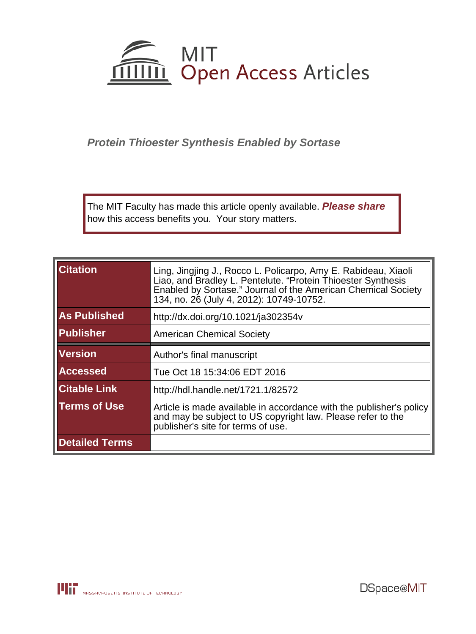

# **Protein Thioester Synthesis Enabled by Sortase**

The MIT Faculty has made this article openly available. **[Please share](http://libraries.mit.edu/forms/dspace-oa-articles.html)** how this access benefits you. Your story matters.

| <b>Citation</b>       | Ling, Jingjing J., Rocco L. Policarpo, Amy E. Rabideau, Xiaoli<br>Liao, and Bradley L. Pentelute. "Protein Thioester Synthesis<br>Enabled by Sortase." Journal of the American Chemical Society<br>134, no. 26 (July 4, 2012): 10749-10752. |
|-----------------------|---------------------------------------------------------------------------------------------------------------------------------------------------------------------------------------------------------------------------------------------|
| <b>As Published</b>   | http://dx.doi.org/10.1021/ja302354v                                                                                                                                                                                                         |
| Publisher             | <b>American Chemical Society</b>                                                                                                                                                                                                            |
| <b>Version</b>        | Author's final manuscript                                                                                                                                                                                                                   |
| <b>Accessed</b>       | Tue Oct 18 15:34:06 EDT 2016                                                                                                                                                                                                                |
| <b>Citable Link</b>   | http://hdl.handle.net/1721.1/82572                                                                                                                                                                                                          |
| <b>Terms of Use</b>   | Article is made available in accordance with the publisher's policy<br>and may be subject to US copyright law. Please refer to the<br>publisher's site for terms of use.                                                                    |
| <b>Detailed Terms</b> |                                                                                                                                                                                                                                             |

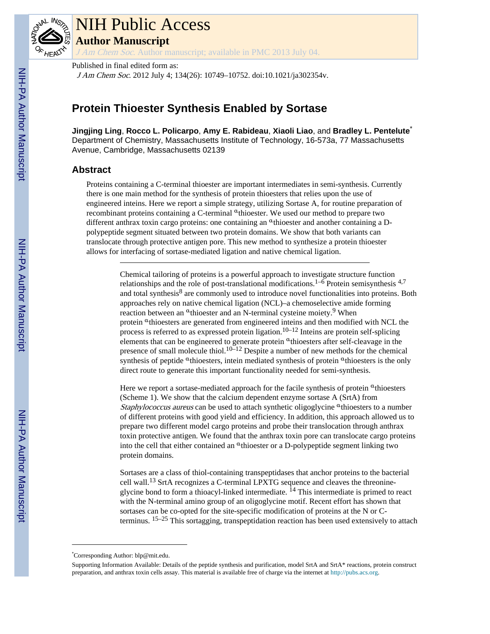

# NIH Public Access **Author Manuscript**

J Am Chem Soc. Author manuscript; available in PMC 2013 July 04.

Published in final edited form as: J Am Chem Soc. 2012 July 4; 134(26): 10749–10752. doi:10.1021/ja302354v.

# **Protein Thioester Synthesis Enabled by Sortase**

**Jingjing Ling**, **Rocco L. Policarpo**, **Amy E. Rabideau**, **Xiaoli Liao**, and **Bradley L. Pentelute**\* Department of Chemistry, Massachusetts Institute of Technology, 16-573a, 77 Massachusetts Avenue, Cambridge, Massachusetts 02139

# **Abstract**

Proteins containing a C-terminal thioester are important intermediates in semi-synthesis. Currently there is one main method for the synthesis of protein thioesters that relies upon the use of engineered inteins. Here we report a simple strategy, utilizing Sortase A, for routine preparation of recombinant proteins containing a C-terminal αthioester. We used our method to prepare two different anthrax toxin cargo proteins: one containing an  $\alpha$  thioester and another containing a Dpolypeptide segment situated between two protein domains. We show that both variants can translocate through protective antigen pore. This new method to synthesize a protein thioester allows for interfacing of sortase-mediated ligation and native chemical ligation.

> Chemical tailoring of proteins is a powerful approach to investigate structure function relationships and the role of post-translational modifications.<sup>1–6</sup> Protein semisynthesis  $4.7$ and total synthesis<sup>8</sup> are commonly used to introduce novel functionalities into proteins. Both approaches rely on native chemical ligation (NCL)–a chemoselective amide forming reaction between an <sup>α</sup>thioester and an N-terminal cysteine moiety.<sup>9</sup> When protein <sup>α</sup>thioesters are generated from engineered inteins and then modified with NCL the process is referred to as expressed protein ligation.10–12 Inteins are protein self-splicing elements that can be engineered to generate protein αthioesters after self-cleavage in the presence of small molecule thiol.<sup>10–12</sup> Despite a number of new methods for the chemical synthesis of peptide <sup>α</sup>thioesters, intein mediated synthesis of protein <sup>α</sup>thioesters is the only direct route to generate this important functionality needed for semi-synthesis.

> Here we report a sortase-mediated approach for the facile synthesis of protein  $\alpha$  thioesters (Scheme 1). We show that the calcium dependent enzyme sortase A (SrtA) from *Staphylococcus aureus* can be used to attach synthetic oligoglycine  $\alpha$  thioesters to a number of different proteins with good yield and efficiency. In addition, this approach allowed us to prepare two different model cargo proteins and probe their translocation through anthrax toxin protective antigen. We found that the anthrax toxin pore can translocate cargo proteins into the cell that either contained an <sup>α</sup>thioester or a D-polypeptide segment linking two protein domains.

> Sortases are a class of thiol-containing transpeptidases that anchor proteins to the bacterial cell wall.13 SrtA recognizes a C-terminal LPXTG sequence and cleaves the threonineglycine bond to form a thioacyl-linked intermediate.  $^{14}$  This intermediate is primed to react with the N-terminal amino group of an oligoglycine motif. Recent effort has shown that sortases can be co-opted for the site-specific modification of proteins at the N or Cterminus. 15–25 This sortagging, transpeptidation reaction has been used extensively to attach

<sup>\*</sup>Corresponding Author: blp@mit.edu.

Supporting Information Available: Details of the peptide synthesis and purification, model SrtA and SrtA\* reactions, protein construct preparation, and anthrax toxin cells assay. This material is available free of charge via the internet at<http://pubs.acs.org>.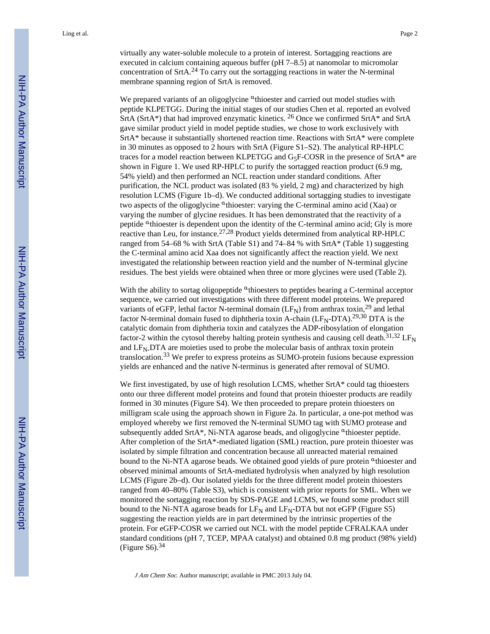virtually any water-soluble molecule to a protein of interest. Sortagging reactions are executed in calcium containing aqueous buffer (pH 7–8.5) at nanomolar to micromolar concentration of SrtA.24 To carry out the sortagging reactions in water the N-terminal membrane spanning region of SrtA is removed.

We prepared variants of an oligoglycine  $\alpha$  thioester and carried out model studies with peptide KLPETGG. During the initial stages of our studies Chen et al. reported an evolved SrtA (SrtA\*) that had improved enzymatic kinetics. 26 Once we confirmed SrtA\* and SrtA gave similar product yield in model peptide studies, we chose to work exclusively with SrtA\* because it substantially shortened reaction time. Reactions with SrtA\* were complete in 30 minutes as opposed to 2 hours with SrtA (Figure S1–S2). The analytical RP-HPLC traces for a model reaction between KLPETGG and  $G_5F\text{-COSR}$  in the presence of SrtA\* are shown in Figure 1. We used RP-HPLC to purify the sortagged reaction product (6.9 mg, 54% yield) and then performed an NCL reaction under standard conditions. After purification, the NCL product was isolated (83 % yield, 2 mg) and characterized by high resolution LCMS (Figure 1b–d). We conducted additional sortagging studies to investigate two aspects of the oligoglycine  $\alpha$ thioester: varying the C-terminal amino acid (Xaa) or varying the number of glycine residues. It has been demonstrated that the reactivity of a peptide <sup>a</sup>thioester is dependent upon the identity of the C-terminal amino acid; Gly is more reactive than Leu, for instance.<sup>27,28</sup> Product yields determined from analytical RP-HPLC ranged from 54–68 % with SrtA (Table S1) and 74–84 % with SrtA\* (Table 1) suggesting the C-terminal amino acid Xaa does not significantly affect the reaction yield. We next investigated the relationship between reaction yield and the number of N-terminal glycine residues. The best yields were obtained when three or more glycines were used (Table 2).

With the ability to sortag oligopeptide <sup>α</sup>thioesters to peptides bearing a C-terminal acceptor sequence, we carried out investigations with three different model proteins. We prepared variants of eGFP, lethal factor N-terminal domain  $(LF_N)$  from anthrax toxin,<sup>29</sup> and lethal factor N-terminal domain fused to diphtheria toxin A-chain  $(LF_N-DTA)$ .<sup>29,30</sup> DTA is the catalytic domain from diphtheria toxin and catalyzes the ADP-ribosylation of elongation factor-2 within the cytosol thereby halting protein synthesis and causing cell death.<sup>31,32</sup> LF<sub>N</sub> and  $LF<sub>N</sub>DTA$  are moieties used to probe the molecular basis of anthrax toxin protein translocation.33 We prefer to express proteins as SUMO-protein fusions because expression yields are enhanced and the native N-terminus is generated after removal of SUMO.

We first investigated, by use of high resolution LCMS, whether SrtA\* could tag thioesters onto our three different model proteins and found that protein thioester products are readily formed in 30 minutes (Figure S4). We then proceeded to prepare protein thioesters on milligram scale using the approach shown in Figure 2a. In particular, a one-pot method was employed whereby we first removed the N-terminal SUMO tag with SUMO protease and subsequently added SrtA\*, Ni-NTA agarose beads, and oligoglycine <sup>a</sup>thioester peptide. After completion of the SrtA\*-mediated ligation (SML) reaction, pure protein thioester was isolated by simple filtration and concentration because all unreacted material remained bound to the Ni-NTA agarose beads. We obtained good yields of pure protein <sup>a</sup>thioester and observed minimal amounts of SrtA-mediated hydrolysis when analyzed by high resolution LCMS (Figure 2b–d). Our isolated yields for the three different model protein thioesters ranged from 40–80% (Table S3), which is consistent with prior reports for SML. When we monitored the sortagging reaction by SDS-PAGE and LCMS, we found some product still bound to the Ni-NTA agarose beads for  $LF_N$  and  $LF_N$ -DTA but not eGFP (Figure S5) suggesting the reaction yields are in part determined by the intrinsic properties of the protein. For eGFP-COSR we carried out NCL with the model peptide CFRALKAA under standard conditions (pH 7, TCEP, MPAA catalyst) and obtained 0.8 mg product (98% yield) (Figure S6). $34$ 

J Am Chem Soc. Author manuscript; available in PMC 2013 July 04.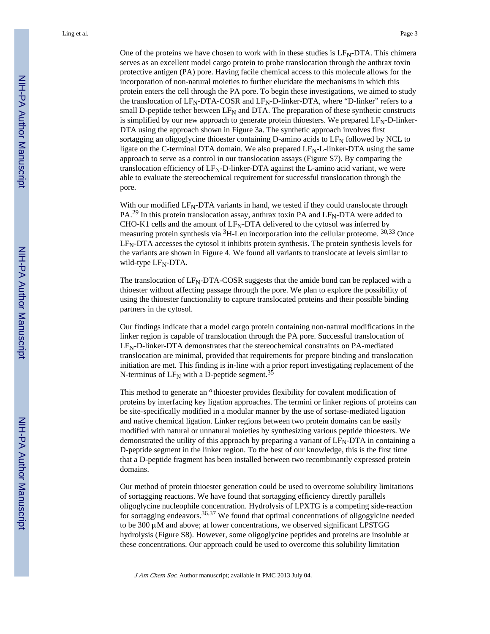One of the proteins we have chosen to work with in these studies is  $LF<sub>N</sub>-DTA$ . This chimera serves as an excellent model cargo protein to probe translocation through the anthrax toxin protective antigen (PA) pore. Having facile chemical access to this molecule allows for the incorporation of non-natural moieties to further elucidate the mechanisms in which this protein enters the cell through the PA pore. To begin these investigations, we aimed to study the translocation of  $LF<sub>N</sub>-DTA-COSR$  and  $LF<sub>N</sub>-D-linear-DTA$ , where "D-linker" refers to a small D-peptide tether between  $LF_N$  and DTA. The preparation of these synthetic constructs is simplified by our new approach to generate protein thioesters. We prepared  $LF<sub>N</sub>-D$ -linker-DTA using the approach shown in Figure 3a. The synthetic approach involves first sortagging an oligoglycine thioester containing D-amino acids to  $LF<sub>N</sub>$  followed by NCL to ligate on the C-terminal DTA domain. We also prepared LF<sub>N</sub>-L-linker-DTA using the same approach to serve as a control in our translocation assays (Figure S7). By comparing the translocation efficiency of  $LF<sub>N</sub>-D$ -linker-DTA against the L-amino acid variant, we were able to evaluate the stereochemical requirement for successful translocation through the pore.

With our modified  $LF<sub>N</sub>-DTA$  variants in hand, we tested if they could translocate through  $PA.<sup>29</sup>$  In this protein translocation assay, anthrax toxin PA and  $LF<sub>N</sub>-DTA$  were added to CHO-K1 cells and the amount of  $LF<sub>N</sub>-DTA$  delivered to the cytosol was inferred by measuring protein synthesis via <sup>3</sup>H-Leu incorporation into the cellular proteome. <sup>30,33</sup> Once LFN-DTA accesses the cytosol it inhibits protein synthesis. The protein synthesis levels for the variants are shown in Figure 4. We found all variants to translocate at levels similar to wild-type  $LF<sub>N</sub>-DTA$ .

The translocation of  $LF<sub>N</sub>-DTA-COSR$  suggests that the amide bond can be replaced with a thioester without affecting passage through the pore. We plan to explore the possibility of using the thioester functionality to capture translocated proteins and their possible binding partners in the cytosol.

Our findings indicate that a model cargo protein containing non-natural modifications in the linker region is capable of translocation through the PA pore. Successful translocation of  $LF<sub>N</sub>-D-linker-DTA$  demonstrates that the stereochemical constraints on PA-mediated translocation are minimal, provided that requirements for prepore binding and translocation initiation are met. This finding is in-line with a prior report investigating replacement of the N-terminus of  $LF_N$  with a D-peptide segment.<sup>35</sup>

This method to generate an <sup>α</sup>thioester provides flexibility for covalent modification of proteins by interfacing key ligation approaches. The termini or linker regions of proteins can be site-specifically modified in a modular manner by the use of sortase-mediated ligation and native chemical ligation. Linker regions between two protein domains can be easily modified with natural or unnatural moieties by synthesizing various peptide thioesters. We demonstrated the utility of this approach by preparing a variant of  $LF<sub>N</sub>-DTA$  in containing a D-peptide segment in the linker region. To the best of our knowledge, this is the first time that a D-peptide fragment has been installed between two recombinantly expressed protein domains.

Our method of protein thioester generation could be used to overcome solubility limitations of sortagging reactions. We have found that sortagging efficiency directly parallels oligoglycine nucleophile concentration. Hydrolysis of LPXTG is a competing side-reaction for sortagging endeavors.<sup>36,37</sup> We found that optimal concentrations of oligogylcine needed to be 300 μM and above; at lower concentrations, we observed significant LPSTGG hydrolysis (Figure S8). However, some oligoglycine peptides and proteins are insoluble at these concentrations. Our approach could be used to overcome this solubility limitation

J Am Chem Soc. Author manuscript; available in PMC 2013 July 04.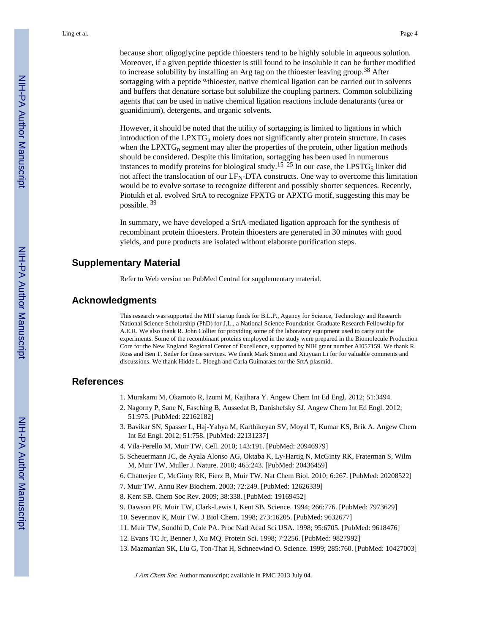because short oligoglycine peptide thioesters tend to be highly soluble in aqueous solution. Moreover, if a given peptide thioester is still found to be insoluble it can be further modified to increase solubility by installing an Arg tag on the thioester leaving group.38 After sortagging with a peptide  $\alpha$ thioester, native chemical ligation can be carried out in solvents and buffers that denature sortase but solubilize the coupling partners. Common solubilizing agents that can be used in native chemical ligation reactions include denaturants (urea or guanidinium), detergents, and organic solvents.

However, it should be noted that the utility of sortagging is limited to ligations in which introduction of the  $LPXTG<sub>n</sub>$  moiety does not significantly alter protein structure. In cases when the LPXT $G_n$  segment may alter the properties of the protein, other ligation methods should be considered. Despite this limitation, sortagging has been used in numerous instances to modify proteins for biological study.<sup>15–25</sup> In our case, the LPSTG<sub>5</sub> linker did not affect the translocation of our  $LF<sub>N</sub>-DTA$  constructs. One way to overcome this limitation would be to evolve sortase to recognize different and possibly shorter sequences. Recently, Piotukh et al. evolved SrtA to recognize FPXTG or APXTG motif, suggesting this may be possible. <sup>39</sup>

In summary, we have developed a SrtA-mediated ligation approach for the synthesis of recombinant protein thioesters. Protein thioesters are generated in 30 minutes with good yields, and pure products are isolated without elaborate purification steps.

## **Supplementary Material**

Refer to Web version on PubMed Central for supplementary material.

## **Acknowledgments**

This research was supported the MIT startup funds for B.L.P., Agency for Science, Technology and Research National Science Scholarship (PhD) for J.L., a National Science Foundation Graduate Research Fellowship for A.E.R. We also thank R. John Collier for providing some of the laboratory equipment used to carry out the experiments. Some of the recombinant proteins employed in the study were prepared in the Biomolecule Production Core for the New England Regional Center of Excellence, supported by NIH grant number AI057159. We thank R. Ross and Ben T. Seiler for these services. We thank Mark Simon and Xiuyuan Li for for valuable comments and discussions. We thank Hidde L. Ploegh and Carla Guimaraes for the SrtA plasmid.

## **References**

- 1. Murakami M, Okamoto R, Izumi M, Kajihara Y. Angew Chem Int Ed Engl. 2012; 51:3494.
- 2. Nagorny P, Sane N, Fasching B, Aussedat B, Danishefsky SJ. Angew Chem Int Ed Engl. 2012; 51:975. [PubMed: 22162182]
- 3. Bavikar SN, Spasser L, Haj-Yahya M, Karthikeyan SV, Moyal T, Kumar KS, Brik A. Angew Chem Int Ed Engl. 2012; 51:758. [PubMed: 22131237]
- 4. Vila-Perello M, Muir TW. Cell. 2010; 143:191. [PubMed: 20946979]
- 5. Scheuermann JC, de Ayala Alonso AG, Oktaba K, Ly-Hartig N, McGinty RK, Fraterman S, Wilm M, Muir TW, Muller J. Nature. 2010; 465:243. [PubMed: 20436459]
- 6. Chatterjee C, McGinty RK, Fierz B, Muir TW. Nat Chem Biol. 2010; 6:267. [PubMed: 20208522]
- 7. Muir TW. Annu Rev Biochem. 2003; 72:249. [PubMed: 12626339]
- 8. Kent SB. Chem Soc Rev. 2009; 38:338. [PubMed: 19169452]
- 9. Dawson PE, Muir TW, Clark-Lewis I, Kent SB. Science. 1994; 266:776. [PubMed: 7973629]
- 10. Severinov K, Muir TW. J Biol Chem. 1998; 273:16205. [PubMed: 9632677]
- 11. Muir TW, Sondhi D, Cole PA. Proc Natl Acad Sci USA. 1998; 95:6705. [PubMed: 9618476]
- 12. Evans TC Jr, Benner J, Xu MQ. Protein Sci. 1998; 7:2256. [PubMed: 9827992]
- 13. Mazmanian SK, Liu G, Ton-That H, Schneewind O. Science. 1999; 285:760. [PubMed: 10427003]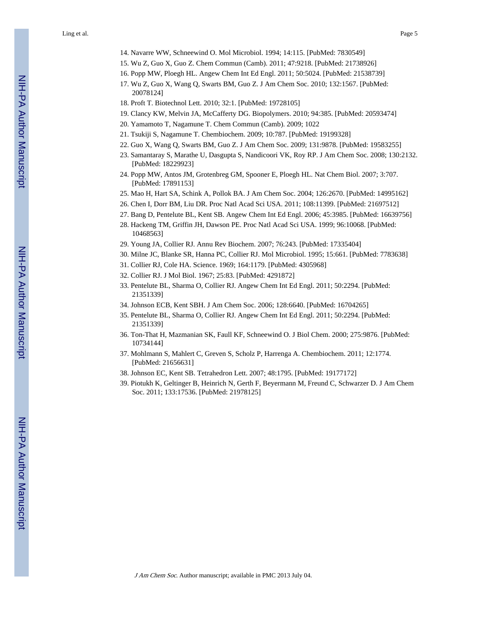- 15. Wu Z, Guo X, Guo Z. Chem Commun (Camb). 2011; 47:9218. [PubMed: 21738926]
- 16. Popp MW, Ploegh HL. Angew Chem Int Ed Engl. 2011; 50:5024. [PubMed: 21538739]
- 17. Wu Z, Guo X, Wang Q, Swarts BM, Guo Z. J Am Chem Soc. 2010; 132:1567. [PubMed: 20078124]
- 18. Proft T. Biotechnol Lett. 2010; 32:1. [PubMed: 19728105]
- 19. Clancy KW, Melvin JA, McCafferty DG. Biopolymers. 2010; 94:385. [PubMed: 20593474]
- 20. Yamamoto T, Nagamune T. Chem Commun (Camb). 2009; 1022
- 21. Tsukiji S, Nagamune T. Chembiochem. 2009; 10:787. [PubMed: 19199328]
- 22. Guo X, Wang Q, Swarts BM, Guo Z. J Am Chem Soc. 2009; 131:9878. [PubMed: 19583255]
- 23. Samantaray S, Marathe U, Dasgupta S, Nandicoori VK, Roy RP. J Am Chem Soc. 2008; 130:2132. [PubMed: 18229923]
- 24. Popp MW, Antos JM, Grotenbreg GM, Spooner E, Ploegh HL. Nat Chem Biol. 2007; 3:707. [PubMed: 17891153]
- 25. Mao H, Hart SA, Schink A, Pollok BA. J Am Chem Soc. 2004; 126:2670. [PubMed: 14995162]
- 26. Chen I, Dorr BM, Liu DR. Proc Natl Acad Sci USA. 2011; 108:11399. [PubMed: 21697512]
- 27. Bang D, Pentelute BL, Kent SB. Angew Chem Int Ed Engl. 2006; 45:3985. [PubMed: 16639756]
- 28. Hackeng TM, Griffin JH, Dawson PE. Proc Natl Acad Sci USA. 1999; 96:10068. [PubMed: 10468563]
- 29. Young JA, Collier RJ. Annu Rev Biochem. 2007; 76:243. [PubMed: 17335404]
- 30. Milne JC, Blanke SR, Hanna PC, Collier RJ. Mol Microbiol. 1995; 15:661. [PubMed: 7783638]
- 31. Collier RJ, Cole HA. Science. 1969; 164:1179. [PubMed: 4305968]
- 32. Collier RJ. J Mol Biol. 1967; 25:83. [PubMed: 4291872]
- 33. Pentelute BL, Sharma O, Collier RJ. Angew Chem Int Ed Engl. 2011; 50:2294. [PubMed: 21351339]
- 34. Johnson ECB, Kent SBH. J Am Chem Soc. 2006; 128:6640. [PubMed: 16704265]
- 35. Pentelute BL, Sharma O, Collier RJ. Angew Chem Int Ed Engl. 2011; 50:2294. [PubMed: 21351339]
- 36. Ton-That H, Mazmanian SK, Faull KF, Schneewind O. J Biol Chem. 2000; 275:9876. [PubMed: 10734144]
- 37. Mohlmann S, Mahlert C, Greven S, Scholz P, Harrenga A. Chembiochem. 2011; 12:1774. [PubMed: 21656631]
- 38. Johnson EC, Kent SB. Tetrahedron Lett. 2007; 48:1795. [PubMed: 19177172]
- 39. Piotukh K, Geltinger B, Heinrich N, Gerth F, Beyermann M, Freund C, Schwarzer D. J Am Chem Soc. 2011; 133:17536. [PubMed: 21978125]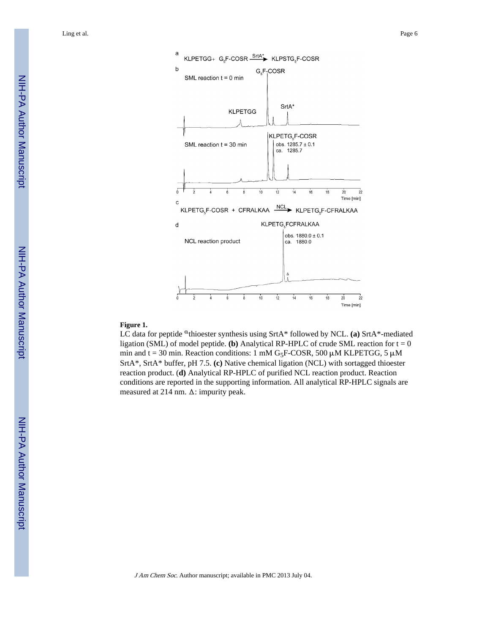

#### **Figure 1.**

LC data for peptide <sup>a</sup>thioester synthesis using SrtA\* followed by NCL. (a) SrtA\*-mediated ligation (SML) of model peptide. **(b)** Analytical RP-HPLC of crude SML reaction for  $t = 0$ min and t = 30 min. Reaction conditions: 1 mM G<sub>5</sub>F-COSR, 500  $\mu$ M KLPETGG, 5  $\mu$ M SrtA\*, SrtA\* buffer, pH 7.5. **(c)** Native chemical ligation (NCL) with sortagged thioester reaction product. (**d)** Analytical RP-HPLC of purified NCL reaction product. Reaction conditions are reported in the supporting information. All analytical RP-HPLC signals are measured at 214 nm. Δ: impurity peak.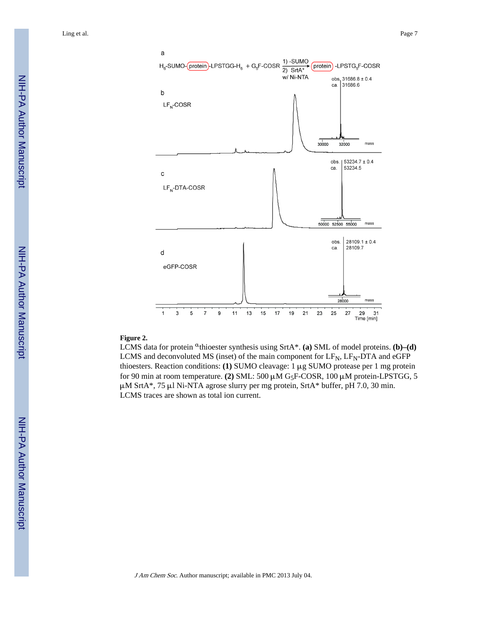

#### **Figure 2.**

LCMS data for protein <sup>a</sup>thioester synthesis using SrtA\*. (a) SML of model proteins. (b)–(d) LCMS and deconvoluted MS (inset) of the main component for  $LF_N$ ,  $LF_N$ -DTA and eGFP thioesters. Reaction conditions: **(1)** SUMO cleavage: 1 μg SUMO protease per 1 mg protein for 90 min at room temperature. **(2)** SML: 500 μM G5F-COSR, 100 μM protein-LPSTGG, 5 μM SrtA\*, 75 μl Ni-NTA agrose slurry per mg protein, SrtA\* buffer, pH 7.0, 30 min. LCMS traces are shown as total ion current.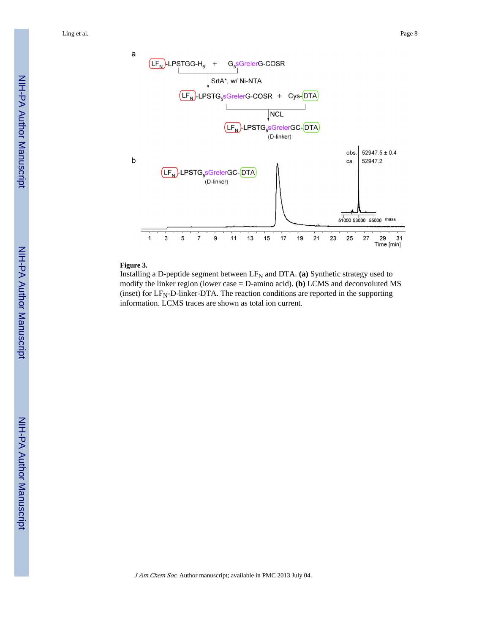NIH-PA Author Manuscript NIH-PA Author Manuscript



## **Figure 3.**

Installing a D-peptide segment between  $LF_N$  and DTA. (a) Synthetic strategy used to modify the linker region (lower case = D-amino acid). **(b)** LCMS and deconvoluted MS (inset) for  $LF<sub>N</sub>-D$ -linker-DTA. The reaction conditions are reported in the supporting information. LCMS traces are shown as total ion current.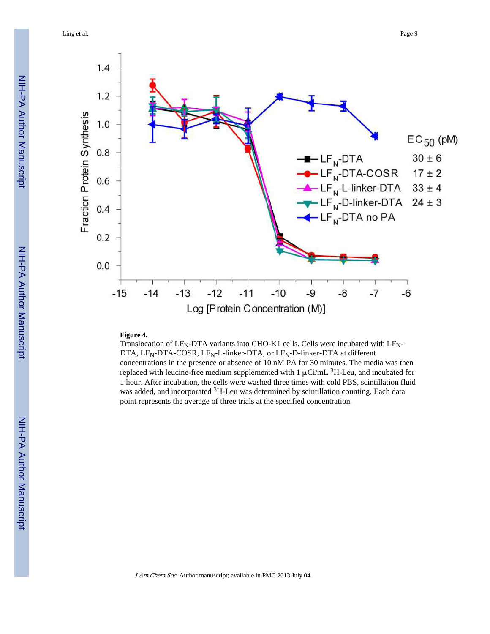Ling et al. Page 9



#### **Figure 4.**

Translocation of  $LF_N$ -DTA variants into CHO-K1 cells. Cells were incubated with  $LF_N$ -DTA,  $LF_N$ -DTA-COSR,  $LF_N$ -L-linker-DTA, or  $LF_N$ -D-linker-DTA at different concentrations in the presence or absence of 10 nM PA for 30 minutes. The media was then replaced with leucine-free medium supplemented with  $1 \mu$ Ci/mL <sup>3</sup>H-Leu, and incubated for 1 hour. After incubation, the cells were washed three times with cold PBS, scintillation fluid was added, and incorporated <sup>3</sup>H-Leu was determined by scintillation counting. Each data point represents the average of three trials at the specified concentration.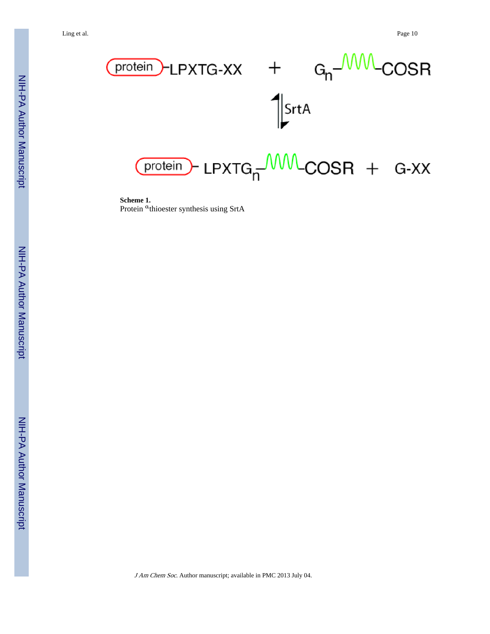

**Scheme 1.** Protein <sup>a</sup>thioester synthesis using SrtA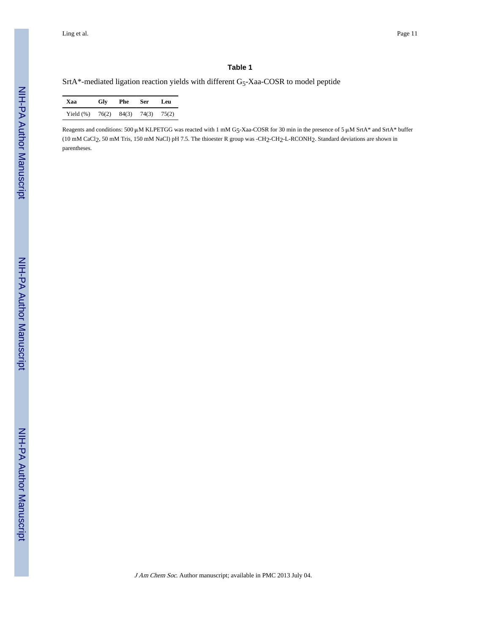#### **Table 1**

SrtA\*-mediated ligation reaction yields with different G5-Xaa-COSR to model peptide

| Xaa                | Glv | Phe | Ser -               | Leu |
|--------------------|-----|-----|---------------------|-----|
| Yield $(\%)$ 76(2) |     |     | $84(3)$ 74(3) 75(2) |     |

Reagents and conditions: 500 μM KLPETGG was reacted with 1 mM G5-Xaa-COSR for 30 min in the presence of 5 μM SrtA\* and SrtA\* buffer (10 mM CaCl2, 50 mM Tris, 150 mM NaCl) pH 7.5. The thioester R group was -CH2-CH2-L-RCONH2. Standard deviations are shown in parentheses.